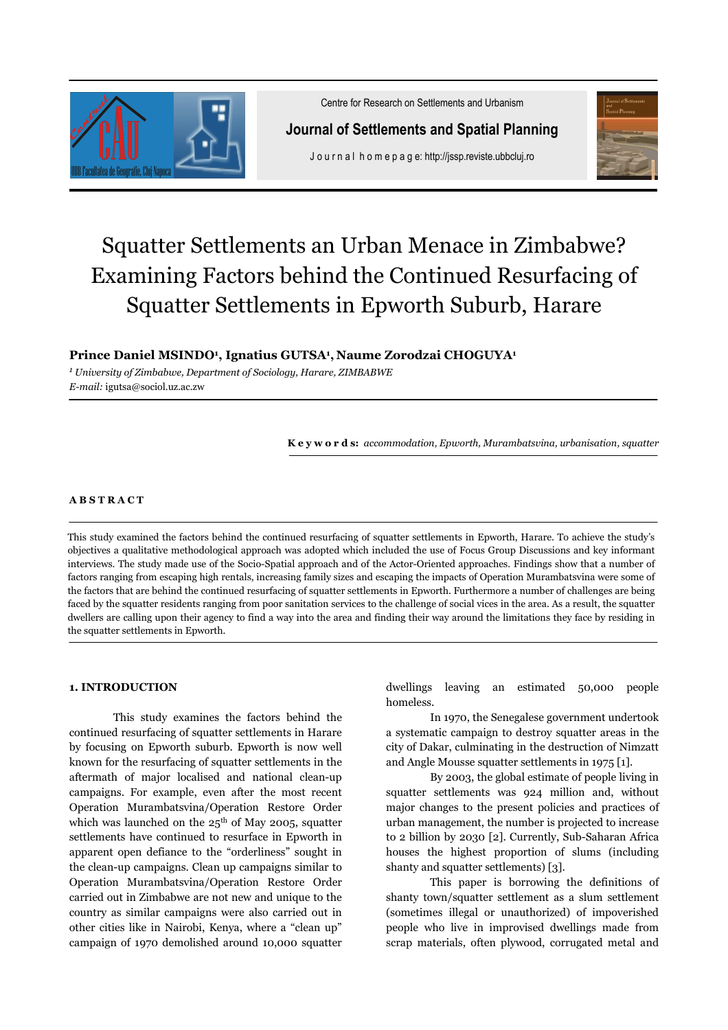

Centre for Research on Settlements and Urbanism

**Journal of Settlements and Spatial Planning** 

J o u r n a l h o m e p a g e: http://jssp.reviste.ubbcluj.ro



# Squatter Settlements an Urban Menace in Zimbabwe? Examining Factors behind the Continued Resurfacing of Squatter Settlements in Epworth Suburb, Harare

# **Prince Daniel MSINDO<sup>1</sup> , Ignatius GUTSA<sup>1</sup> , Naume Zorodzai CHOGUYA<sup>1</sup>**

*1 University of Zimbabwe, Department of Sociology, Harare, ZIMBABWE E-mail:* igutsa@sociol.uz.ac.zw

**K e y w o r d s:** *accommodation, Epworth, Murambatsvina, urbanisation, squatter*

#### **A B S T R A C T**

This study examined the factors behind the continued resurfacing of squatter settlements in Epworth, Harare. To achieve the study's objectives a qualitative methodological approach was adopted which included the use of Focus Group Discussions and key informant interviews. The study made use of the Socio-Spatial approach and of the Actor-Oriented approaches. Findings show that a number of factors ranging from escaping high rentals, increasing family sizes and escaping the impacts of Operation Murambatsvina were some of the factors that are behind the continued resurfacing of squatter settlements in Epworth. Furthermore a number of challenges are being faced by the squatter residents ranging from poor sanitation services to the challenge of social vices in the area. As a result, the squatter dwellers are calling upon their agency to find a way into the area and finding their way around the limitations they face by residing in the squatter settlements in Epworth.

#### **1. INTRODUCTION**

This study examines the factors behind the continued resurfacing of squatter settlements in Harare by focusing on Epworth suburb. Epworth is now well known for the resurfacing of squatter settlements in the aftermath of major localised and national clean-up campaigns. For example, even after the most recent Operation Murambatsvina/Operation Restore Order which was launched on the 25<sup>th</sup> of May 2005, squatter settlements have continued to resurface in Epworth in apparent open defiance to the "orderliness" sought in the clean-up campaigns. Clean up campaigns similar to Operation Murambatsvina/Operation Restore Order carried out in Zimbabwe are not new and unique to the country as similar campaigns were also carried out in other cities like in Nairobi, Kenya, where a "clean up" campaign of 1970 demolished around 10,000 squatter dwellings leaving an estimated 50,000 people homeless.

In 1970, the Senegalese government undertook a systematic campaign to destroy squatter areas in the city of Dakar, culminating in the destruction of Nimzatt and Angle Mousse squatter settlements in 1975 [1].

By 2003, the global estimate of people living in squatter settlements was 924 million and, without major changes to the present policies and practices of urban management, the number is projected to increase to 2 billion by 2030 [2]. Currently, Sub-Saharan Africa houses the highest proportion of slums (including shanty and squatter settlements) [3].

This paper is borrowing the definitions of shanty town/squatter settlement as a slum settlement (sometimes illegal or unauthorized) of impoverished people who live in improvised dwellings made from scrap materials, often plywood, corrugated metal and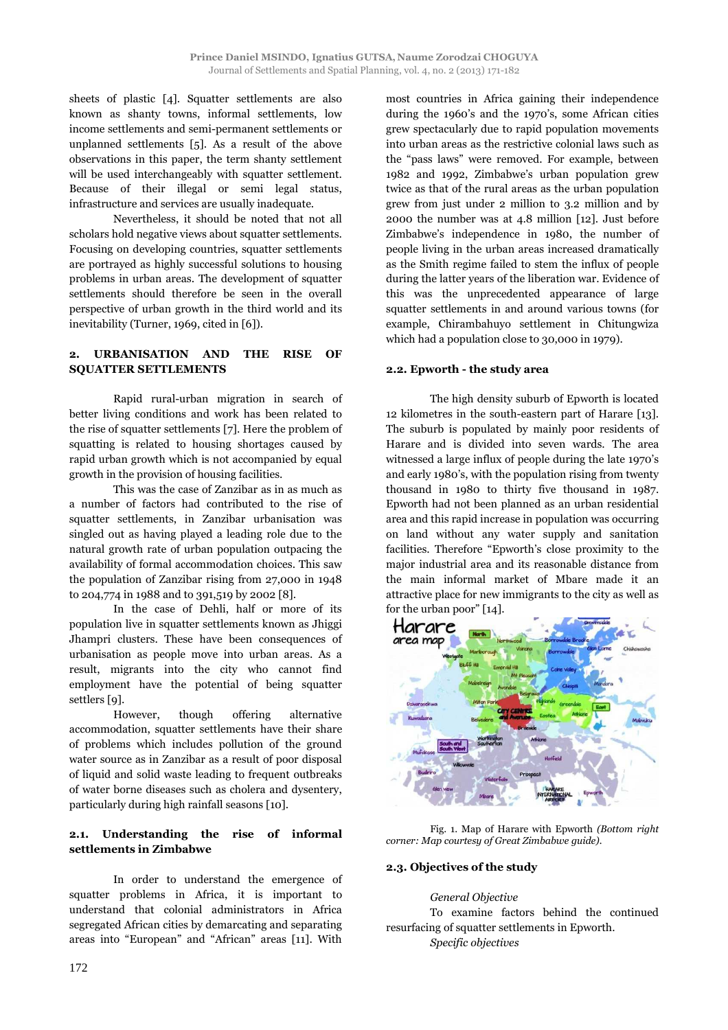sheets of plastic [4]. Squatter settlements are also known as shanty towns, informal settlements, low income settlements and semi-permanent settlements or unplanned settlements [5]. As a result of the above observations in this paper, the term shanty settlement will be used interchangeably with squatter settlement. Because of their illegal or semi legal status, infrastructure and services are usually inadequate.

Nevertheless, it should be noted that not all scholars hold negative views about squatter settlements. Focusing on developing countries, squatter settlements are portrayed as highly successful solutions to housing problems in urban areas. The development of squatter settlements should therefore be seen in the overall perspective of urban growth in the third world and its inevitability (Turner, 1969, cited in [6]).

# **2. URBANISATION AND THE RISE OF SQUATTER SETTLEMENTS**

Rapid rural-urban migration in search of better living conditions and work has been related to the rise of squatter settlements [7]. Here the problem of squatting is related to housing shortages caused by rapid urban growth which is not accompanied by equal growth in the provision of housing facilities.

This was the case of Zanzibar as in as much as a number of factors had contributed to the rise of squatter settlements, in Zanzibar urbanisation was singled out as having played a leading role due to the natural growth rate of urban population outpacing the availability of formal accommodation choices. This saw the population of Zanzibar rising from 27,000 in 1948 to 204,774 in 1988 and to 391,519 by 2002 [8].

In the case of Dehli, half or more of its population live in squatter settlements known as Jhiggi Jhampri clusters. These have been consequences of urbanisation as people move into urban areas. As a result, migrants into the city who cannot find employment have the potential of being squatter settlers [9].

However, though offering alternative accommodation, squatter settlements have their share of problems which includes pollution of the ground water source as in Zanzibar as a result of poor disposal of liquid and solid waste leading to frequent outbreaks of water borne diseases such as cholera and dysentery, particularly during high rainfall seasons [10].

## **2.1. Understanding the rise of informal settlements in Zimbabwe**

In order to understand the emergence of squatter problems in Africa, it is important to understand that colonial administrators in Africa segregated African cities by demarcating and separating areas into "European" and "African" areas [11]. With

most countries in Africa gaining their independence during the 1960's and the 1970's, some African cities grew spectacularly due to rapid population movements into urban areas as the restrictive colonial laws such as the "pass laws" were removed. For example, between 1982 and 1992, Zimbabwe's urban population grew twice as that of the rural areas as the urban population grew from just under 2 million to 3.2 million and by 2000 the number was at 4.8 million [12]. Just before Zimbabwe's independence in 1980, the number of people living in the urban areas increased dramatically as the Smith regime failed to stem the influx of people during the latter years of the liberation war. Evidence of this was the unprecedented appearance of large squatter settlements in and around various towns (for example, Chirambahuyo settlement in Chitungwiza which had a population close to 30,000 in 1979).

## **2.2. Epworth - the study area**

The high density suburb of Epworth is located 12 kilometres in the south-eastern part of Harare [13]. The suburb is populated by mainly poor residents of Harare and is divided into seven wards. The area witnessed a large influx of people during the late 1970's and early 1980's, with the population rising from twenty thousand in 1980 to thirty five thousand in 1987. Epworth had not been planned as an urban residential area and this rapid increase in population was occurring on land without any water supply and sanitation facilities. Therefore "Epworth's close proximity to the major industrial area and its reasonable distance from the main informal market of Mbare made it an attractive place for new immigrants to the city as well as for the urban poor" [14].



Fig. 1. Map of Harare with Epworth *(Bottom right corner: Map courtesy of Great Zimbabwe guide).* 

#### **2.3. Objectives of the study**

#### *General Objective*

To examine factors behind the continued resurfacing of squatter settlements in Epworth.

*Specific objectives*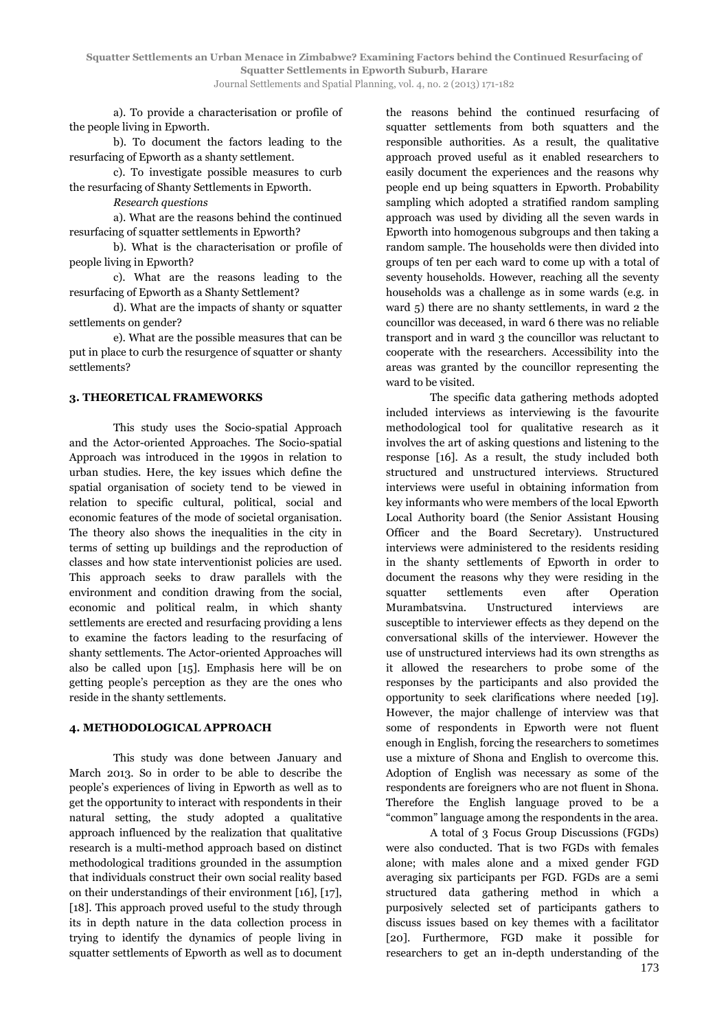**Squatter Settlements an Urban Menace in Zimbabwe? Examining Factors behind the Continued Resurfacing of Squatter Settlements in Epworth Suburb, Harare** 

Journal Settlements and Spatial Planning, vol. 4, no. 2 (2013) 171-182

a). To provide a characterisation or profile of the people living in Epworth.

b). To document the factors leading to the resurfacing of Epworth as a shanty settlement.

c). To investigate possible measures to curb the resurfacing of Shanty Settlements in Epworth.

*Research questions* 

a). What are the reasons behind the continued resurfacing of squatter settlements in Epworth?

b). What is the characterisation or profile of people living in Epworth?

c). What are the reasons leading to the resurfacing of Epworth as a Shanty Settlement?

d). What are the impacts of shanty or squatter settlements on gender?

e). What are the possible measures that can be put in place to curb the resurgence of squatter or shanty settlements?

#### **3. THEORETICAL FRAMEWORKS**

This study uses the Socio-spatial Approach and the Actor-oriented Approaches. The Socio-spatial Approach was introduced in the 1990s in relation to urban studies. Here, the key issues which define the spatial organisation of society tend to be viewed in relation to specific cultural, political, social and economic features of the mode of societal organisation. The theory also shows the inequalities in the city in terms of setting up buildings and the reproduction of classes and how state interventionist policies are used. This approach seeks to draw parallels with the environment and condition drawing from the social, economic and political realm, in which shanty settlements are erected and resurfacing providing a lens to examine the factors leading to the resurfacing of shanty settlements. The Actor-oriented Approaches will also be called upon [15]. Emphasis here will be on getting people's perception as they are the ones who reside in the shanty settlements.

#### **4. METHODOLOGICAL APPROACH**

This study was done between January and March 2013. So in order to be able to describe the people's experiences of living in Epworth as well as to get the opportunity to interact with respondents in their natural setting, the study adopted a qualitative approach influenced by the realization that qualitative research is a multi-method approach based on distinct methodological traditions grounded in the assumption that individuals construct their own social reality based on their understandings of their environment [16], [17], [18]. This approach proved useful to the study through its in depth nature in the data collection process in trying to identify the dynamics of people living in squatter settlements of Epworth as well as to document the reasons behind the continued resurfacing of squatter settlements from both squatters and the responsible authorities. As a result, the qualitative approach proved useful as it enabled researchers to easily document the experiences and the reasons why people end up being squatters in Epworth. Probability sampling which adopted a stratified random sampling approach was used by dividing all the seven wards in Epworth into homogenous subgroups and then taking a random sample. The households were then divided into groups of ten per each ward to come up with a total of seventy households. However, reaching all the seventy households was a challenge as in some wards (e.g. in ward 5) there are no shanty settlements, in ward 2 the councillor was deceased, in ward 6 there was no reliable transport and in ward 3 the councillor was reluctant to cooperate with the researchers. Accessibility into the areas was granted by the councillor representing the ward to be visited.

The specific data gathering methods adopted included interviews as interviewing is the favourite methodological tool for qualitative research as it involves the art of asking questions and listening to the response [16]. As a result, the study included both structured and unstructured interviews. Structured interviews were useful in obtaining information from key informants who were members of the local Epworth Local Authority board (the Senior Assistant Housing Officer and the Board Secretary). Unstructured interviews were administered to the residents residing in the shanty settlements of Epworth in order to document the reasons why they were residing in the squatter settlements even after Operation Murambatsvina. Unstructured interviews are susceptible to interviewer effects as they depend on the conversational skills of the interviewer. However the use of unstructured interviews had its own strengths as it allowed the researchers to probe some of the responses by the participants and also provided the opportunity to seek clarifications where needed [19]. However, the major challenge of interview was that some of respondents in Epworth were not fluent enough in English, forcing the researchers to sometimes use a mixture of Shona and English to overcome this. Adoption of English was necessary as some of the respondents are foreigners who are not fluent in Shona. Therefore the English language proved to be a "common" language among the respondents in the area.

A total of 3 Focus Group Discussions (FGDs) were also conducted. That is two FGDs with females alone; with males alone and a mixed gender FGD averaging six participants per FGD. FGDs are a semi structured data gathering method in which a purposively selected set of participants gathers to discuss issues based on key themes with a facilitator [20]. Furthermore, FGD make it possible for researchers to get an in-depth understanding of the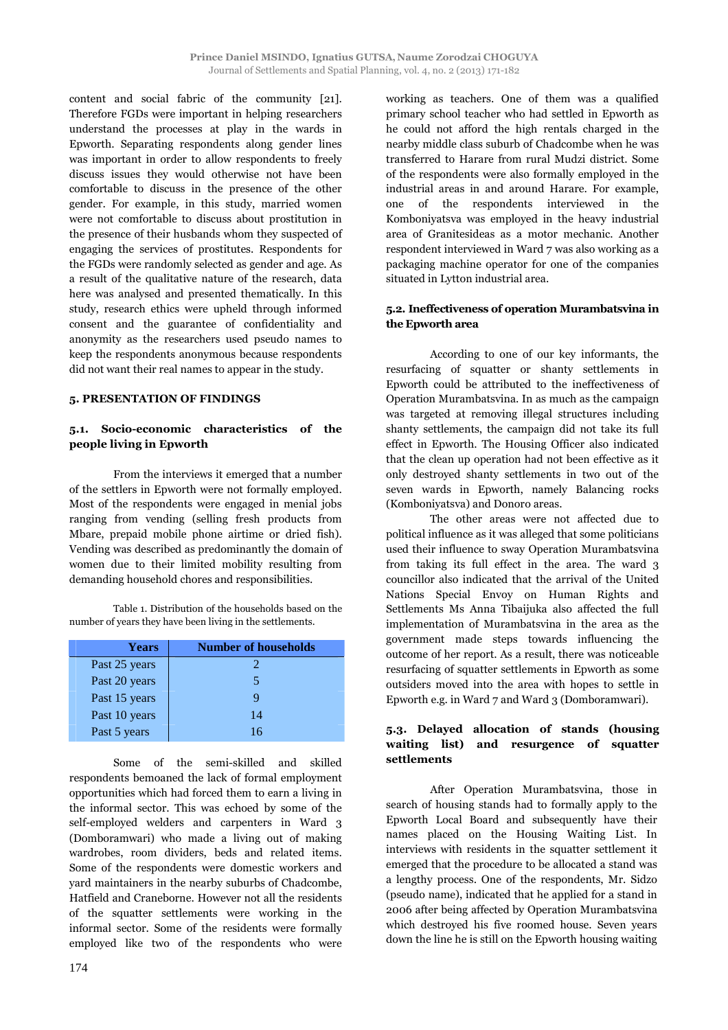content and social fabric of the community [21]. Therefore FGDs were important in helping researchers understand the processes at play in the wards in Epworth. Separating respondents along gender lines was important in order to allow respondents to freely discuss issues they would otherwise not have been comfortable to discuss in the presence of the other gender. For example, in this study, married women were not comfortable to discuss about prostitution in the presence of their husbands whom they suspected of engaging the services of prostitutes. Respondents for the FGDs were randomly selected as gender and age. As a result of the qualitative nature of the research, data here was analysed and presented thematically. In this study, research ethics were upheld through informed consent and the guarantee of confidentiality and anonymity as the researchers used pseudo names to keep the respondents anonymous because respondents did not want their real names to appear in the study.

#### **5. PRESENTATION OF FINDINGS**

#### **5.1. Socio-economic characteristics of the people living in Epworth**

From the interviews it emerged that a number of the settlers in Epworth were not formally employed. Most of the respondents were engaged in menial jobs ranging from vending (selling fresh products from Mbare, prepaid mobile phone airtime or dried fish). Vending was described as predominantly the domain of women due to their limited mobility resulting from demanding household chores and responsibilities.

Table 1. Distribution of the households based on the number of years they have been living in the settlements.

| <b>Years</b>  | <b>Number of households</b> |
|---------------|-----------------------------|
| Past 25 years |                             |
| Past 20 years | 5                           |
| Past 15 years | Q                           |
| Past 10 years | 14                          |
| Past 5 years  | 16                          |

Some of the semi-skilled and skilled respondents bemoaned the lack of formal employment opportunities which had forced them to earn a living in the informal sector. This was echoed by some of the self-employed welders and carpenters in Ward 3 (Domboramwari) who made a living out of making wardrobes, room dividers, beds and related items. Some of the respondents were domestic workers and yard maintainers in the nearby suburbs of Chadcombe, Hatfield and Craneborne. However not all the residents of the squatter settlements were working in the informal sector. Some of the residents were formally employed like two of the respondents who were working as teachers. One of them was a qualified primary school teacher who had settled in Epworth as he could not afford the high rentals charged in the nearby middle class suburb of Chadcombe when he was transferred to Harare from rural Mudzi district. Some of the respondents were also formally employed in the industrial areas in and around Harare. For example, one of the respondents interviewed in the Komboniyatsva was employed in the heavy industrial area of Granitesideas as a motor mechanic. Another respondent interviewed in Ward 7 was also working as a packaging machine operator for one of the companies situated in Lytton industrial area.

## **5.2. Ineffectiveness of operation Murambatsvina in the Epworth area**

According to one of our key informants, the resurfacing of squatter or shanty settlements in Epworth could be attributed to the ineffectiveness of Operation Murambatsvina. In as much as the campaign was targeted at removing illegal structures including shanty settlements, the campaign did not take its full effect in Epworth. The Housing Officer also indicated that the clean up operation had not been effective as it only destroyed shanty settlements in two out of the seven wards in Epworth, namely Balancing rocks (Komboniyatsva) and Donoro areas.

The other areas were not affected due to political influence as it was alleged that some politicians used their influence to sway Operation Murambatsvina from taking its full effect in the area. The ward 3 councillor also indicated that the arrival of the United Nations Special Envoy on Human Rights and Settlements Ms Anna Tibaijuka also affected the full implementation of Murambatsvina in the area as the government made steps towards influencing the outcome of her report. As a result, there was noticeable resurfacing of squatter settlements in Epworth as some outsiders moved into the area with hopes to settle in Epworth e.g. in Ward 7 and Ward 3 (Domboramwari).

# **5.3. Delayed allocation of stands (housing waiting list) and resurgence of squatter settlements**

After Operation Murambatsvina, those in search of housing stands had to formally apply to the Epworth Local Board and subsequently have their names placed on the Housing Waiting List. In interviews with residents in the squatter settlement it emerged that the procedure to be allocated a stand was a lengthy process. One of the respondents, Mr. Sidzo (pseudo name), indicated that he applied for a stand in 2006 after being affected by Operation Murambatsvina which destroyed his five roomed house. Seven years down the line he is still on the Epworth housing waiting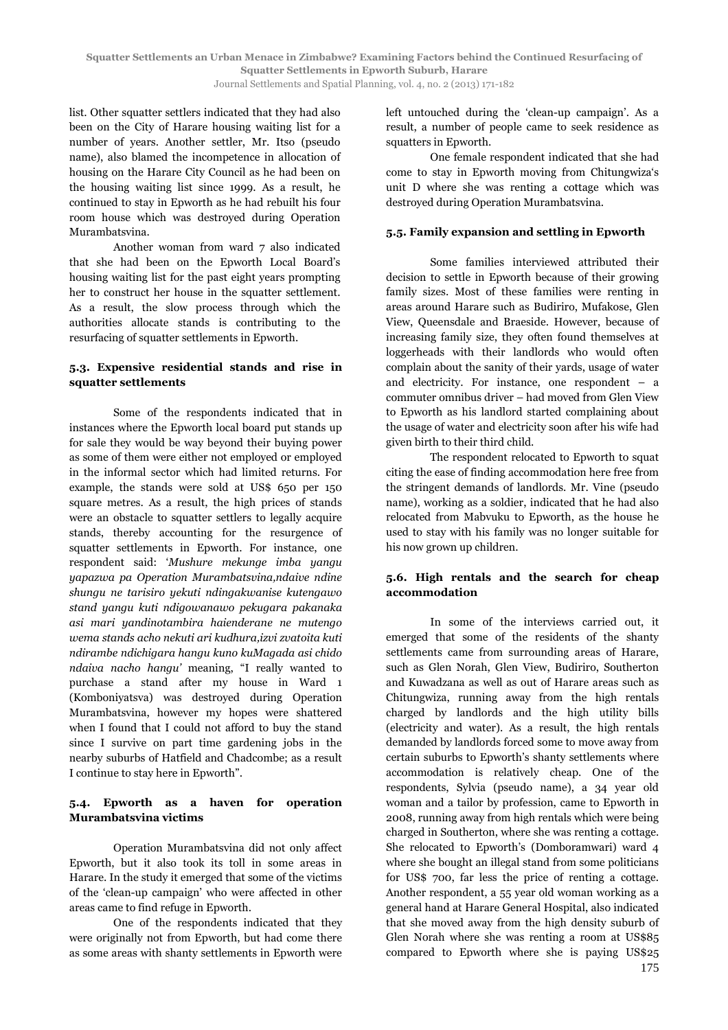list. Other squatter settlers indicated that they had also been on the City of Harare housing waiting list for a number of years. Another settler, Mr. Itso (pseudo name), also blamed the incompetence in allocation of housing on the Harare City Council as he had been on the housing waiting list since 1999. As a result, he continued to stay in Epworth as he had rebuilt his four room house which was destroyed during Operation Murambatsvina.

Another woman from ward 7 also indicated that she had been on the Epworth Local Board's housing waiting list for the past eight years prompting her to construct her house in the squatter settlement. As a result, the slow process through which the authorities allocate stands is contributing to the resurfacing of squatter settlements in Epworth.

#### **5.3. Expensive residential stands and rise in squatter settlements**

Some of the respondents indicated that in instances where the Epworth local board put stands up for sale they would be way beyond their buying power as some of them were either not employed or employed in the informal sector which had limited returns. For example, the stands were sold at US\$ 650 per 150 square metres. As a result, the high prices of stands were an obstacle to squatter settlers to legally acquire stands, thereby accounting for the resurgence of squatter settlements in Epworth. For instance, one respondent said: '*Mushure mekunge imba yangu yapazwa pa Operation Murambatsvina,ndaive ndine shungu ne tarisiro yekuti ndingakwanise kutengawo stand yangu kuti ndigowanawo pekugara pakanaka asi mari yandinotambira haienderane ne mutengo wema stands acho nekuti ari kudhura,izvi zvatoita kuti ndirambe ndichigara hangu kuno kuMagada asi chido ndaiva nacho hangu'* meaning, "I really wanted to purchase a stand after my house in Ward 1 (Komboniyatsva) was destroyed during Operation Murambatsvina, however my hopes were shattered when I found that I could not afford to buy the stand since I survive on part time gardening jobs in the nearby suburbs of Hatfield and Chadcombe; as a result I continue to stay here in Epworth".

# **5.4. Epworth as a haven for operation Murambatsvina victims**

Operation Murambatsvina did not only affect Epworth, but it also took its toll in some areas in Harare. In the study it emerged that some of the victims of the 'clean-up campaign' who were affected in other areas came to find refuge in Epworth.

One of the respondents indicated that they were originally not from Epworth, but had come there as some areas with shanty settlements in Epworth were left untouched during the 'clean-up campaign'. As a result, a number of people came to seek residence as squatters in Epworth.

One female respondent indicated that she had come to stay in Epworth moving from Chitungwiza's unit D where she was renting a cottage which was destroyed during Operation Murambatsvina.

# **5.5. Family expansion and settling in Epworth**

Some families interviewed attributed their decision to settle in Epworth because of their growing family sizes. Most of these families were renting in areas around Harare such as Budiriro, Mufakose, Glen View, Queensdale and Braeside. However, because of increasing family size, they often found themselves at loggerheads with their landlords who would often complain about the sanity of their yards, usage of water and electricity. For instance, one respondent – a commuter omnibus driver – had moved from Glen View to Epworth as his landlord started complaining about the usage of water and electricity soon after his wife had given birth to their third child.

The respondent relocated to Epworth to squat citing the ease of finding accommodation here free from the stringent demands of landlords. Mr. Vine (pseudo name), working as a soldier, indicated that he had also relocated from Mabvuku to Epworth, as the house he used to stay with his family was no longer suitable for his now grown up children.

# **5.6. High rentals and the search for cheap accommodation**

In some of the interviews carried out, it emerged that some of the residents of the shanty settlements came from surrounding areas of Harare, such as Glen Norah, Glen View, Budiriro, Southerton and Kuwadzana as well as out of Harare areas such as Chitungwiza, running away from the high rentals charged by landlords and the high utility bills (electricity and water). As a result, the high rentals demanded by landlords forced some to move away from certain suburbs to Epworth's shanty settlements where accommodation is relatively cheap. One of the respondents, Sylvia (pseudo name), a 34 year old woman and a tailor by profession, came to Epworth in 2008, running away from high rentals which were being charged in Southerton, where she was renting a cottage. She relocated to Epworth's (Domboramwari) ward 4 where she bought an illegal stand from some politicians for US\$ 700, far less the price of renting a cottage. Another respondent, a 55 year old woman working as a general hand at Harare General Hospital, also indicated that she moved away from the high density suburb of Glen Norah where she was renting a room at US\$85 compared to Epworth where she is paying US\$25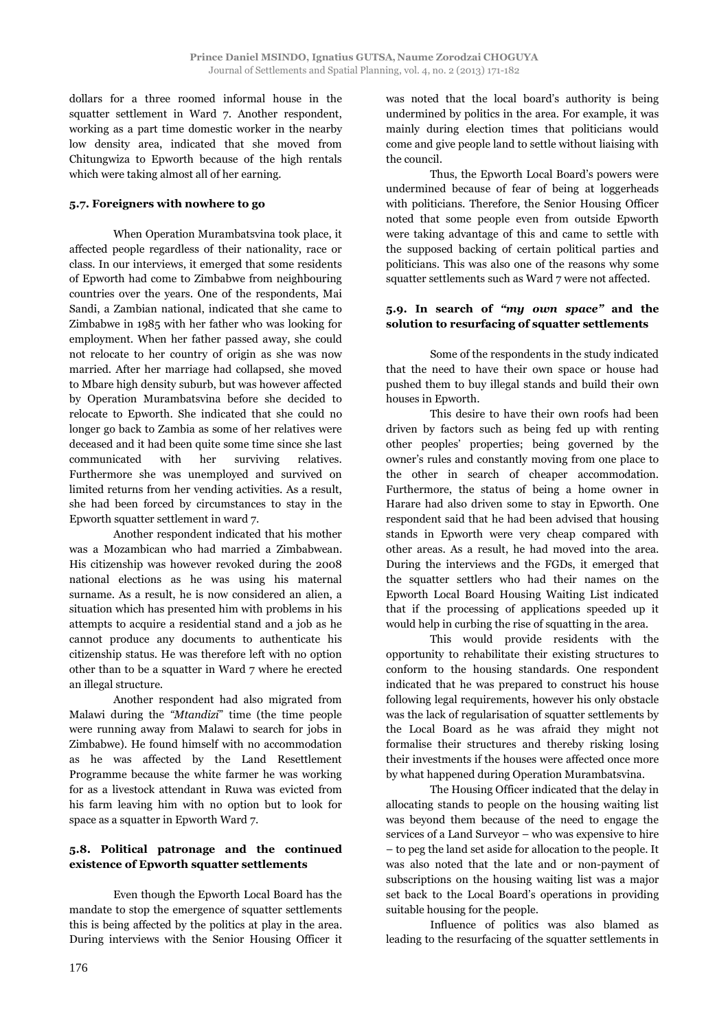dollars for a three roomed informal house in the squatter settlement in Ward 7. Another respondent, working as a part time domestic worker in the nearby low density area, indicated that she moved from Chitungwiza to Epworth because of the high rentals which were taking almost all of her earning.

#### **5.7. Foreigners with nowhere to go**

When Operation Murambatsvina took place, it affected people regardless of their nationality, race or class. In our interviews, it emerged that some residents of Epworth had come to Zimbabwe from neighbouring countries over the years. One of the respondents, Mai Sandi, a Zambian national, indicated that she came to Zimbabwe in 1985 with her father who was looking for employment. When her father passed away, she could not relocate to her country of origin as she was now married. After her marriage had collapsed, she moved to Mbare high density suburb, but was however affected by Operation Murambatsvina before she decided to relocate to Epworth. She indicated that she could no longer go back to Zambia as some of her relatives were deceased and it had been quite some time since she last communicated with her surviving relatives. Furthermore she was unemployed and survived on limited returns from her vending activities. As a result, she had been forced by circumstances to stay in the Epworth squatter settlement in ward 7.

Another respondent indicated that his mother was a Mozambican who had married a Zimbabwean. His citizenship was however revoked during the 2008 national elections as he was using his maternal surname. As a result, he is now considered an alien, a situation which has presented him with problems in his attempts to acquire a residential stand and a job as he cannot produce any documents to authenticate his citizenship status. He was therefore left with no option other than to be a squatter in Ward 7 where he erected an illegal structure.

Another respondent had also migrated from Malawi during the *"Mtandizi*" time (the time people were running away from Malawi to search for jobs in Zimbabwe). He found himself with no accommodation as he was affected by the Land Resettlement Programme because the white farmer he was working for as a livestock attendant in Ruwa was evicted from his farm leaving him with no option but to look for space as a squatter in Epworth Ward 7.

# **5.8. Political patronage and the continued existence of Epworth squatter settlements**

Even though the Epworth Local Board has the mandate to stop the emergence of squatter settlements this is being affected by the politics at play in the area. During interviews with the Senior Housing Officer it was noted that the local board's authority is being undermined by politics in the area. For example, it was mainly during election times that politicians would come and give people land to settle without liaising with the council.

Thus, the Epworth Local Board's powers were undermined because of fear of being at loggerheads with politicians. Therefore, the Senior Housing Officer noted that some people even from outside Epworth were taking advantage of this and came to settle with the supposed backing of certain political parties and politicians. This was also one of the reasons why some squatter settlements such as Ward 7 were not affected.

# **5.9. In search of** *"my own space"* **and the solution to resurfacing of squatter settlements**

Some of the respondents in the study indicated that the need to have their own space or house had pushed them to buy illegal stands and build their own houses in Epworth.

This desire to have their own roofs had been driven by factors such as being fed up with renting other peoples' properties; being governed by the owner's rules and constantly moving from one place to the other in search of cheaper accommodation. Furthermore, the status of being a home owner in Harare had also driven some to stay in Epworth. One respondent said that he had been advised that housing stands in Epworth were very cheap compared with other areas. As a result, he had moved into the area. During the interviews and the FGDs, it emerged that the squatter settlers who had their names on the Epworth Local Board Housing Waiting List indicated that if the processing of applications speeded up it would help in curbing the rise of squatting in the area.

This would provide residents with the opportunity to rehabilitate their existing structures to conform to the housing standards. One respondent indicated that he was prepared to construct his house following legal requirements, however his only obstacle was the lack of regularisation of squatter settlements by the Local Board as he was afraid they might not formalise their structures and thereby risking losing their investments if the houses were affected once more by what happened during Operation Murambatsvina.

The Housing Officer indicated that the delay in allocating stands to people on the housing waiting list was beyond them because of the need to engage the services of a Land Surveyor – who was expensive to hire – to peg the land set aside for allocation to the people. It was also noted that the late and or non-payment of subscriptions on the housing waiting list was a major set back to the Local Board's operations in providing suitable housing for the people.

Influence of politics was also blamed as leading to the resurfacing of the squatter settlements in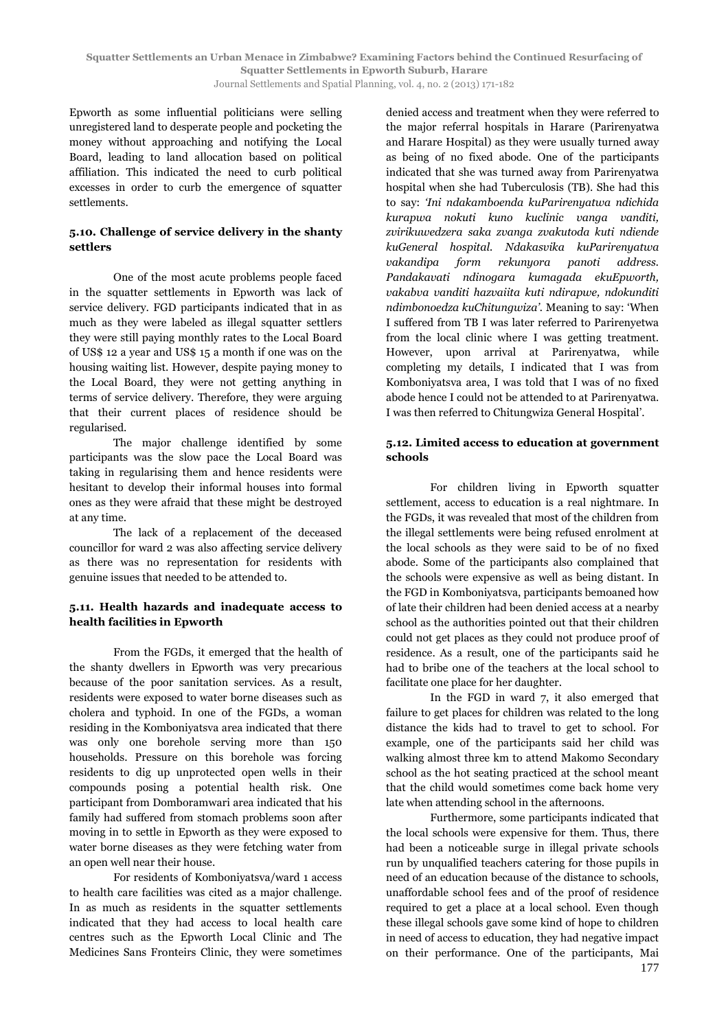Epworth as some influential politicians were selling unregistered land to desperate people and pocketing the money without approaching and notifying the Local Board, leading to land allocation based on political affiliation. This indicated the need to curb political excesses in order to curb the emergence of squatter settlements.

# **5.10. Challenge of service delivery in the shanty settlers**

One of the most acute problems people faced in the squatter settlements in Epworth was lack of service delivery. FGD participants indicated that in as much as they were labeled as illegal squatter settlers they were still paying monthly rates to the Local Board of US\$ 12 a year and US\$ 15 a month if one was on the housing waiting list. However, despite paying money to the Local Board, they were not getting anything in terms of service delivery. Therefore, they were arguing that their current places of residence should be regularised.

The major challenge identified by some participants was the slow pace the Local Board was taking in regularising them and hence residents were hesitant to develop their informal houses into formal ones as they were afraid that these might be destroyed at any time.

The lack of a replacement of the deceased councillor for ward 2 was also affecting service delivery as there was no representation for residents with genuine issues that needed to be attended to.

## **5.11. Health hazards and inadequate access to health facilities in Epworth**

From the FGDs, it emerged that the health of the shanty dwellers in Epworth was very precarious because of the poor sanitation services. As a result, residents were exposed to water borne diseases such as cholera and typhoid. In one of the FGDs, a woman residing in the Komboniyatsva area indicated that there was only one borehole serving more than 150 households. Pressure on this borehole was forcing residents to dig up unprotected open wells in their compounds posing a potential health risk. One participant from Domboramwari area indicated that his family had suffered from stomach problems soon after moving in to settle in Epworth as they were exposed to water borne diseases as they were fetching water from an open well near their house.

For residents of Komboniyatsva/ward 1 access to health care facilities was cited as a major challenge. In as much as residents in the squatter settlements indicated that they had access to local health care centres such as the Epworth Local Clinic and The Medicines Sans Fronteirs Clinic, they were sometimes denied access and treatment when they were referred to the major referral hospitals in Harare (Parirenyatwa and Harare Hospital) as they were usually turned away as being of no fixed abode. One of the participants indicated that she was turned away from Parirenyatwa hospital when she had Tuberculosis (TB). She had this to say: *'Ini ndakamboenda kuParirenyatwa ndichida kurapwa nokuti kuno kuclinic vanga vanditi, zvirikuwedzera saka zvanga zvakutoda kuti ndiende kuGeneral hospital. Ndakasvika kuParirenyatwa vakandipa form rekunyora panoti address. Pandakavati ndinogara kumagada ekuEpworth, vakabva vanditi hazvaiita kuti ndirapwe, ndokunditi ndimbonoedza kuChitungwiza'.* Meaning to say: 'When I suffered from TB I was later referred to Parirenyetwa from the local clinic where I was getting treatment. However, upon arrival at Parirenyatwa, while completing my details, I indicated that I was from Komboniyatsva area, I was told that I was of no fixed abode hence I could not be attended to at Parirenyatwa. I was then referred to Chitungwiza General Hospital'.

#### **5.12. Limited access to education at government schools**

For children living in Epworth squatter settlement, access to education is a real nightmare. In the FGDs, it was revealed that most of the children from the illegal settlements were being refused enrolment at the local schools as they were said to be of no fixed abode. Some of the participants also complained that the schools were expensive as well as being distant. In the FGD in Komboniyatsva, participants bemoaned how of late their children had been denied access at a nearby school as the authorities pointed out that their children could not get places as they could not produce proof of residence. As a result, one of the participants said he had to bribe one of the teachers at the local school to facilitate one place for her daughter.

In the FGD in ward 7, it also emerged that failure to get places for children was related to the long distance the kids had to travel to get to school. For example, one of the participants said her child was walking almost three km to attend Makomo Secondary school as the hot seating practiced at the school meant that the child would sometimes come back home very late when attending school in the afternoons.

Furthermore, some participants indicated that the local schools were expensive for them. Thus, there had been a noticeable surge in illegal private schools run by unqualified teachers catering for those pupils in need of an education because of the distance to schools, unaffordable school fees and of the proof of residence required to get a place at a local school. Even though these illegal schools gave some kind of hope to children in need of access to education, they had negative impact on their performance. One of the participants, Mai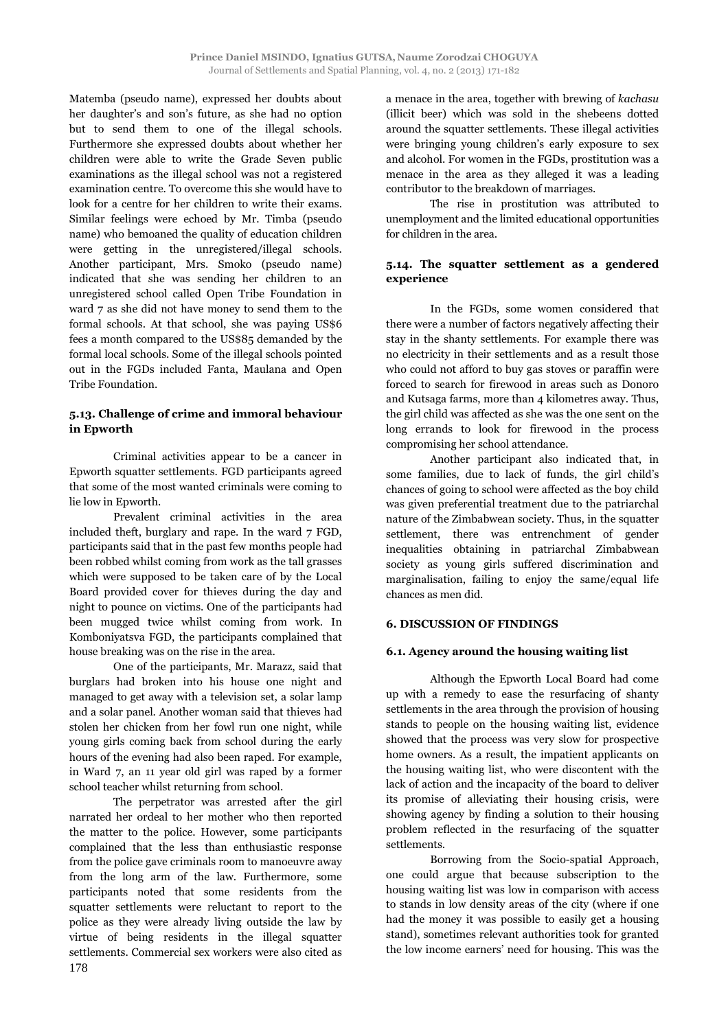Matemba (pseudo name), expressed her doubts about her daughter's and son's future, as she had no option but to send them to one of the illegal schools. Furthermore she expressed doubts about whether her children were able to write the Grade Seven public examinations as the illegal school was not a registered examination centre. To overcome this she would have to look for a centre for her children to write their exams. Similar feelings were echoed by Mr. Timba (pseudo name) who bemoaned the quality of education children were getting in the unregistered/illegal schools. Another participant, Mrs. Smoko (pseudo name) indicated that she was sending her children to an unregistered school called Open Tribe Foundation in ward 7 as she did not have money to send them to the formal schools. At that school, she was paying US\$6 fees a month compared to the US\$85 demanded by the formal local schools. Some of the illegal schools pointed out in the FGDs included Fanta, Maulana and Open Tribe Foundation.

# **5.13. Challenge of crime and immoral behaviour in Epworth**

Criminal activities appear to be a cancer in Epworth squatter settlements. FGD participants agreed that some of the most wanted criminals were coming to lie low in Epworth.

Prevalent criminal activities in the area included theft, burglary and rape. In the ward 7 FGD, participants said that in the past few months people had been robbed whilst coming from work as the tall grasses which were supposed to be taken care of by the Local Board provided cover for thieves during the day and night to pounce on victims. One of the participants had been mugged twice whilst coming from work. In Komboniyatsva FGD, the participants complained that house breaking was on the rise in the area.

One of the participants, Mr. Marazz, said that burglars had broken into his house one night and managed to get away with a television set, a solar lamp and a solar panel. Another woman said that thieves had stolen her chicken from her fowl run one night, while young girls coming back from school during the early hours of the evening had also been raped. For example, in Ward 7, an 11 year old girl was raped by a former school teacher whilst returning from school.

The perpetrator was arrested after the girl narrated her ordeal to her mother who then reported the matter to the police. However, some participants complained that the less than enthusiastic response from the police gave criminals room to manoeuvre away from the long arm of the law. Furthermore, some participants noted that some residents from the squatter settlements were reluctant to report to the police as they were already living outside the law by virtue of being residents in the illegal squatter settlements. Commercial sex workers were also cited as a menace in the area, together with brewing of *kachasu* (illicit beer) which was sold in the shebeens dotted around the squatter settlements. These illegal activities were bringing young children's early exposure to sex and alcohol. For women in the FGDs, prostitution was a menace in the area as they alleged it was a leading contributor to the breakdown of marriages.

The rise in prostitution was attributed to unemployment and the limited educational opportunities for children in the area.

# **5.14. The squatter settlement as a gendered experience**

In the FGDs, some women considered that there were a number of factors negatively affecting their stay in the shanty settlements. For example there was no electricity in their settlements and as a result those who could not afford to buy gas stoves or paraffin were forced to search for firewood in areas such as Donoro and Kutsaga farms, more than 4 kilometres away. Thus, the girl child was affected as she was the one sent on the long errands to look for firewood in the process compromising her school attendance.

Another participant also indicated that, in some families, due to lack of funds, the girl child's chances of going to school were affected as the boy child was given preferential treatment due to the patriarchal nature of the Zimbabwean society. Thus, in the squatter settlement, there was entrenchment of gender inequalities obtaining in patriarchal Zimbabwean society as young girls suffered discrimination and marginalisation, failing to enjoy the same/equal life chances as men did.

# **6. DISCUSSION OF FINDINGS**

#### **6.1. Agency around the housing waiting list**

Although the Epworth Local Board had come up with a remedy to ease the resurfacing of shanty settlements in the area through the provision of housing stands to people on the housing waiting list, evidence showed that the process was very slow for prospective home owners. As a result, the impatient applicants on the housing waiting list, who were discontent with the lack of action and the incapacity of the board to deliver its promise of alleviating their housing crisis, were showing agency by finding a solution to their housing problem reflected in the resurfacing of the squatter settlements.

Borrowing from the Socio-spatial Approach, one could argue that because subscription to the housing waiting list was low in comparison with access to stands in low density areas of the city (where if one had the money it was possible to easily get a housing stand), sometimes relevant authorities took for granted the low income earners' need for housing. This was the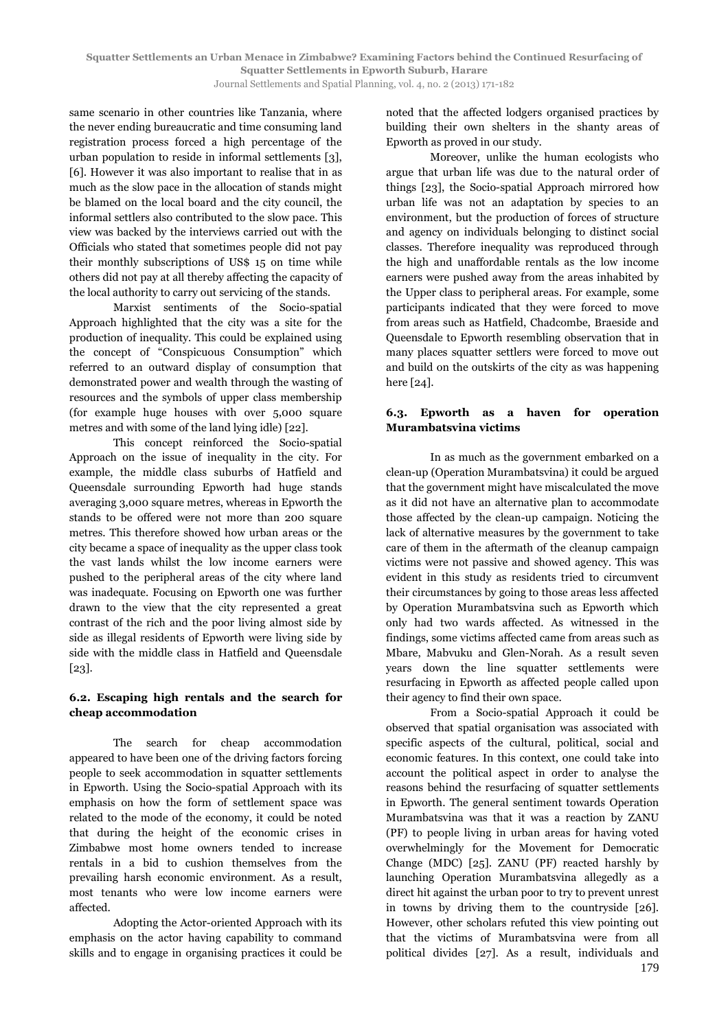same scenario in other countries like Tanzania, where the never ending bureaucratic and time consuming land registration process forced a high percentage of the urban population to reside in informal settlements [3], [6]. However it was also important to realise that in as much as the slow pace in the allocation of stands might be blamed on the local board and the city council, the informal settlers also contributed to the slow pace. This view was backed by the interviews carried out with the Officials who stated that sometimes people did not pay their monthly subscriptions of US\$ 15 on time while others did not pay at all thereby affecting the capacity of the local authority to carry out servicing of the stands.

Marxist sentiments of the Socio-spatial Approach highlighted that the city was a site for the production of inequality. This could be explained using the concept of "Conspicuous Consumption" which referred to an outward display of consumption that demonstrated power and wealth through the wasting of resources and the symbols of upper class membership (for example huge houses with over 5,000 square metres and with some of the land lying idle) [22].

This concept reinforced the Socio-spatial Approach on the issue of inequality in the city. For example, the middle class suburbs of Hatfield and Queensdale surrounding Epworth had huge stands averaging 3,000 square metres, whereas in Epworth the stands to be offered were not more than 200 square metres. This therefore showed how urban areas or the city became a space of inequality as the upper class took the vast lands whilst the low income earners were pushed to the peripheral areas of the city where land was inadequate. Focusing on Epworth one was further drawn to the view that the city represented a great contrast of the rich and the poor living almost side by side as illegal residents of Epworth were living side by side with the middle class in Hatfield and Queensdale [23].

## **6.2. Escaping high rentals and the search for cheap accommodation**

The search for cheap accommodation appeared to have been one of the driving factors forcing people to seek accommodation in squatter settlements in Epworth. Using the Socio-spatial Approach with its emphasis on how the form of settlement space was related to the mode of the economy, it could be noted that during the height of the economic crises in Zimbabwe most home owners tended to increase rentals in a bid to cushion themselves from the prevailing harsh economic environment. As a result, most tenants who were low income earners were affected.

Adopting the Actor-oriented Approach with its emphasis on the actor having capability to command skills and to engage in organising practices it could be noted that the affected lodgers organised practices by building their own shelters in the shanty areas of Epworth as proved in our study.

Moreover, unlike the human ecologists who argue that urban life was due to the natural order of things [23], the Socio-spatial Approach mirrored how urban life was not an adaptation by species to an environment, but the production of forces of structure and agency on individuals belonging to distinct social classes. Therefore inequality was reproduced through the high and unaffordable rentals as the low income earners were pushed away from the areas inhabited by the Upper class to peripheral areas. For example, some participants indicated that they were forced to move from areas such as Hatfield, Chadcombe, Braeside and Queensdale to Epworth resembling observation that in many places squatter settlers were forced to move out and build on the outskirts of the city as was happening here [24].

## **6.3. Epworth as a haven for operation Murambatsvina victims**

In as much as the government embarked on a clean-up (Operation Murambatsvina) it could be argued that the government might have miscalculated the move as it did not have an alternative plan to accommodate those affected by the clean-up campaign. Noticing the lack of alternative measures by the government to take care of them in the aftermath of the cleanup campaign victims were not passive and showed agency. This was evident in this study as residents tried to circumvent their circumstances by going to those areas less affected by Operation Murambatsvina such as Epworth which only had two wards affected. As witnessed in the findings, some victims affected came from areas such as Mbare, Mabvuku and Glen-Norah. As a result seven years down the line squatter settlements were resurfacing in Epworth as affected people called upon their agency to find their own space.

From a Socio-spatial Approach it could be observed that spatial organisation was associated with specific aspects of the cultural, political, social and economic features. In this context, one could take into account the political aspect in order to analyse the reasons behind the resurfacing of squatter settlements in Epworth. The general sentiment towards Operation Murambatsvina was that it was a reaction by ZANU (PF) to people living in urban areas for having voted overwhelmingly for the Movement for Democratic Change (MDC) [25]. ZANU (PF) reacted harshly by launching Operation Murambatsvina allegedly as a direct hit against the urban poor to try to prevent unrest in towns by driving them to the countryside [26]. However, other scholars refuted this view pointing out that the victims of Murambatsvina were from all political divides [27]. As a result, individuals and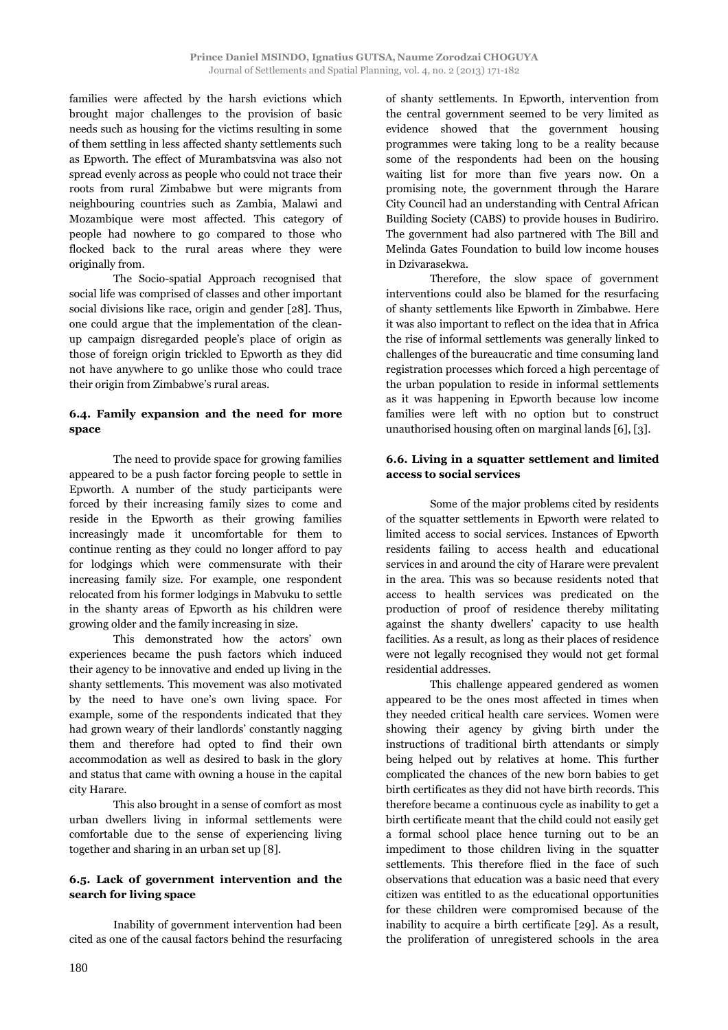families were affected by the harsh evictions which brought major challenges to the provision of basic needs such as housing for the victims resulting in some of them settling in less affected shanty settlements such as Epworth. The effect of Murambatsvina was also not spread evenly across as people who could not trace their roots from rural Zimbabwe but were migrants from neighbouring countries such as Zambia, Malawi and Mozambique were most affected. This category of people had nowhere to go compared to those who flocked back to the rural areas where they were originally from.

The Socio-spatial Approach recognised that social life was comprised of classes and other important social divisions like race, origin and gender [28]. Thus, one could argue that the implementation of the cleanup campaign disregarded people's place of origin as those of foreign origin trickled to Epworth as they did not have anywhere to go unlike those who could trace their origin from Zimbabwe's rural areas.

# **6.4. Family expansion and the need for more space**

The need to provide space for growing families appeared to be a push factor forcing people to settle in Epworth. A number of the study participants were forced by their increasing family sizes to come and reside in the Epworth as their growing families increasingly made it uncomfortable for them to continue renting as they could no longer afford to pay for lodgings which were commensurate with their increasing family size. For example, one respondent relocated from his former lodgings in Mabvuku to settle in the shanty areas of Epworth as his children were growing older and the family increasing in size.

This demonstrated how the actors' own experiences became the push factors which induced their agency to be innovative and ended up living in the shanty settlements. This movement was also motivated by the need to have one's own living space. For example, some of the respondents indicated that they had grown weary of their landlords' constantly nagging them and therefore had opted to find their own accommodation as well as desired to bask in the glory and status that came with owning a house in the capital city Harare.

This also brought in a sense of comfort as most urban dwellers living in informal settlements were comfortable due to the sense of experiencing living together and sharing in an urban set up [8].

## **6.5. Lack of government intervention and the search for living space**

Inability of government intervention had been cited as one of the causal factors behind the resurfacing of shanty settlements. In Epworth, intervention from the central government seemed to be very limited as evidence showed that the government housing programmes were taking long to be a reality because some of the respondents had been on the housing waiting list for more than five years now. On a promising note, the government through the Harare City Council had an understanding with Central African Building Society (CABS) to provide houses in Budiriro. The government had also partnered with The Bill and Melinda Gates Foundation to build low income houses in Dzivarasekwa.

Therefore, the slow space of government interventions could also be blamed for the resurfacing of shanty settlements like Epworth in Zimbabwe. Here it was also important to reflect on the idea that in Africa the rise of informal settlements was generally linked to challenges of the bureaucratic and time consuming land registration processes which forced a high percentage of the urban population to reside in informal settlements as it was happening in Epworth because low income families were left with no option but to construct unauthorised housing often on marginal lands [6], [3].

# **6.6. Living in a squatter settlement and limited access to social services**

Some of the major problems cited by residents of the squatter settlements in Epworth were related to limited access to social services. Instances of Epworth residents failing to access health and educational services in and around the city of Harare were prevalent in the area. This was so because residents noted that access to health services was predicated on the production of proof of residence thereby militating against the shanty dwellers' capacity to use health facilities. As a result, as long as their places of residence were not legally recognised they would not get formal residential addresses.

This challenge appeared gendered as women appeared to be the ones most affected in times when they needed critical health care services. Women were showing their agency by giving birth under the instructions of traditional birth attendants or simply being helped out by relatives at home. This further complicated the chances of the new born babies to get birth certificates as they did not have birth records. This therefore became a continuous cycle as inability to get a birth certificate meant that the child could not easily get a formal school place hence turning out to be an impediment to those children living in the squatter settlements. This therefore flied in the face of such observations that education was a basic need that every citizen was entitled to as the educational opportunities for these children were compromised because of the inability to acquire a birth certificate [29]. As a result, the proliferation of unregistered schools in the area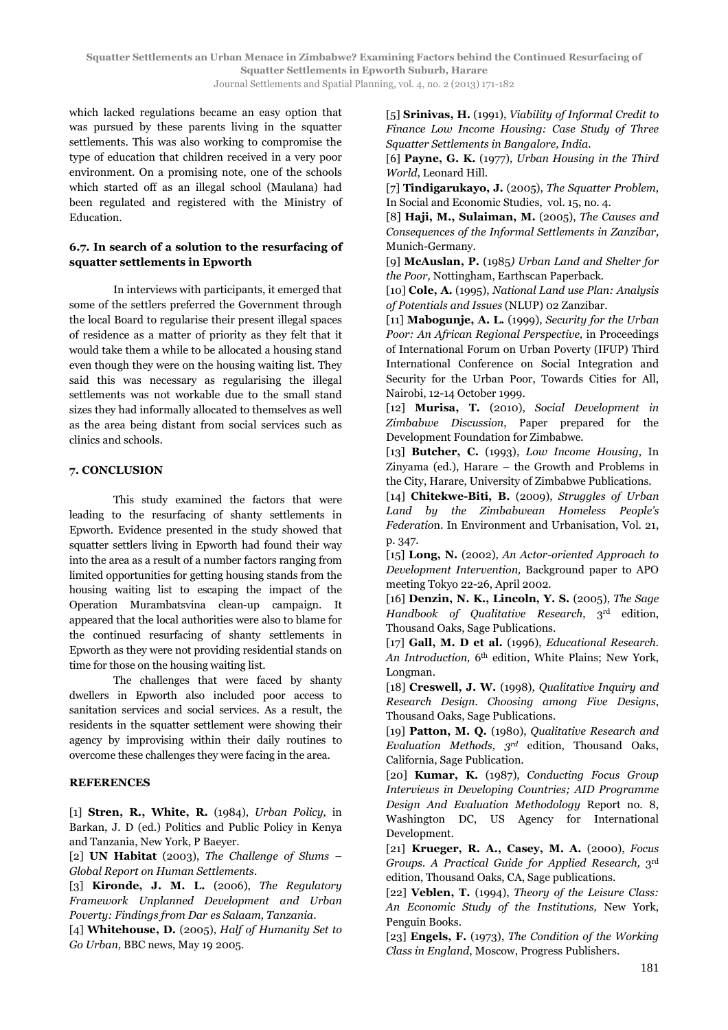which lacked regulations became an easy option that was pursued by these parents living in the squatter settlements. This was also working to compromise the type of education that children received in a very poor environment. On a promising note, one of the schools which started off as an illegal school (Maulana) had been regulated and registered with the Ministry of Education.

# **6.7. In search of a solution to the resurfacing of squatter settlements in Epworth**

In interviews with participants, it emerged that some of the settlers preferred the Government through the local Board to regularise their present illegal spaces of residence as a matter of priority as they felt that it would take them a while to be allocated a housing stand even though they were on the housing waiting list. They said this was necessary as regularising the illegal settlements was not workable due to the small stand sizes they had informally allocated to themselves as well as the area being distant from social services such as clinics and schools.

#### **7. CONCLUSION**

This study examined the factors that were leading to the resurfacing of shanty settlements in Epworth. Evidence presented in the study showed that squatter settlers living in Epworth had found their way into the area as a result of a number factors ranging from limited opportunities for getting housing stands from the housing waiting list to escaping the impact of the Operation Murambatsvina clean-up campaign. It appeared that the local authorities were also to blame for the continued resurfacing of shanty settlements in Epworth as they were not providing residential stands on time for those on the housing waiting list.

The challenges that were faced by shanty dwellers in Epworth also included poor access to sanitation services and social services. As a result, the residents in the squatter settlement were showing their agency by improvising within their daily routines to overcome these challenges they were facing in the area.

# **REFERENCES**

[1] **Stren, R., White, R.** (1984), *Urban Policy,* in Barkan, J. D (ed.) Politics and Public Policy in Kenya and Tanzania, New York, P Baeyer.

[2] **UN Habitat** (2003), *The Challenge of Slums – Global Report on Human Settlements*.

[3] **Kironde, J. M. L.** (2006), *The Regulatory Framework Unplanned Development and Urban Poverty: Findings from Dar es Salaam, Tanzania*.

[4] **Whitehouse, D.** (2005), *Half of Humanity Set to Go Urban,* BBC news, May 19 2005.

[5] **Srinivas, H.** (1991), *Viability of Informal Credit to Finance Low Income Housing: Case Study of Three Squatter Settlements in Bangalore, India*.

[6] **Payne, G. K.** (1977), *Urban Housing in the Third World*, Leonard Hill.

[7] **Tindigarukayo, J.** (2005), *The Squatter Problem*, In Social and Economic Studies,vol. 15, no. 4.

[8] **Haji, M., Sulaiman, M.** (2005), *The Causes and Consequences of the Informal Settlements in Zanzibar,* Munich-Germany.

[9] **McAuslan, P.** (1985*) Urban Land and Shelter for the Poor,* Nottingham, Earthscan Paperback.

[10] **Cole, A.** (1995), *National Land use Plan: Analysis of Potentials and Issues* (NLUP) 02 Zanzibar.

[11] **Mabogunje, A. L.** (1999), *Security for the Urban Poor: An African Regional Perspective,* in Proceedings of International Forum on Urban Poverty (IFUP) Third International Conference on Social Integration and Security for the Urban Poor, Towards Cities for All, Nairobi, 12-14 October 1999.

[12] **Murisa, T.** (2010), *Social Development in Zimbabwe Discussion*, Paper prepared for the Development Foundation for Zimbabwe.

[13] **Butcher, C.** (1993), *Low Income Housing*, In Zinyama (ed.), Harare – the Growth and Problems in the City, Harare, University of Zimbabwe Publications.

[14] **Chitekwe-Biti, B.** (2009), *Struggles of Urban Land by the Zimbabwean Homeless People's Federatio*n. In Environment and Urbanisation, Vol. 21, p. 347.

[15] **Long, N.** (2002), *An Actor-oriented Approach to Development Intervention,* Background paper to APO meeting Tokyo 22-26, April 2002.

[16] **Denzin, N. K., Lincoln, Y. S.** (2005), *The Sage Handbook of Qualitative Research*, 3rd edition, Thousand Oaks, Sage Publications.

[17] **Gall, M. D et al.** (1996), *Educational Research. An Introduction,* 6th edition, White Plains; New York, Longman.

[18] **Creswell, J. W.** (1998), *Qualitative Inquiry and Research Design. Choosing among Five Designs*, Thousand Oaks, Sage Publications.

[19] **Patton, M. Q.** (1980), *Qualitative Research and Evaluation Methods, 3rd* edition, Thousand Oaks, California, Sage Publication.

[20] **Kumar, K.** (1987), *Conducting Focus Group Interviews in Developing Countries; AID Programme Design And Evaluation Methodology* Report no. 8, Washington DC, US Agency for International Development.

[21] **Krueger, R. A., Casey, M. A.** (2000), *Focus Groups. A Practical Guide for Applied Research,* 3 rd edition, Thousand Oaks, CA, Sage publications.

[22] **Veblen, T.** (1994), *Theory of the Leisure Class: An Economic Study of the Institutions,* New York, Penguin Books.

[23] **Engels, F.** (1973), *The Condition of the Working Class in England*, Moscow, Progress Publishers.